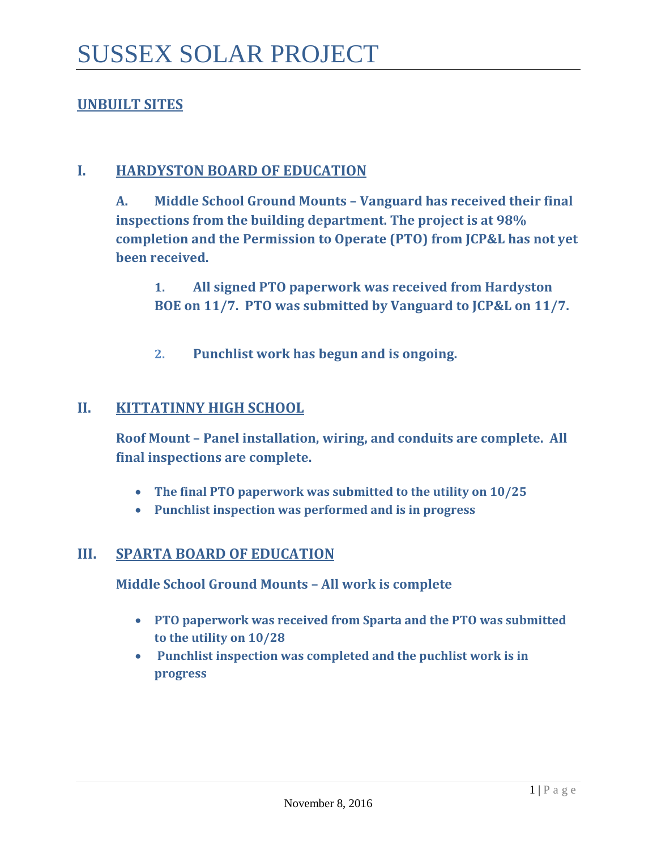# **UNBUILT SITES**

### **I. HARDYSTON BOARD OF EDUCATION**

**A. Middle School Ground Mounts – Vanguard has received their final inspections from the building department. The project is at 98% completion and the Permission to Operate (PTO) from JCP&L has not yet been received.** 

**1. All signed PTO paperwork was received from Hardyston BOE on 11/7. PTO was submitted by Vanguard to JCP&L on 11/7.**

**2. Punchlist work has begun and is ongoing.** 

### **II. KITTATINNY HIGH SCHOOL**

**Roof Mount – Panel installation, wiring, and conduits are complete. All final inspections are complete.**

- **The final PTO paperwork was submitted to the utility on 10/25**
- **Punchlist inspection was performed and is in progress**

### **III. SPARTA BOARD OF EDUCATION**

**Middle School Ground Mounts – All work is complete**

- **PTO paperwork was received from Sparta and the PTO was submitted to the utility on 10/28**
- **Punchlist inspection was completed and the puchlist work is in progress**